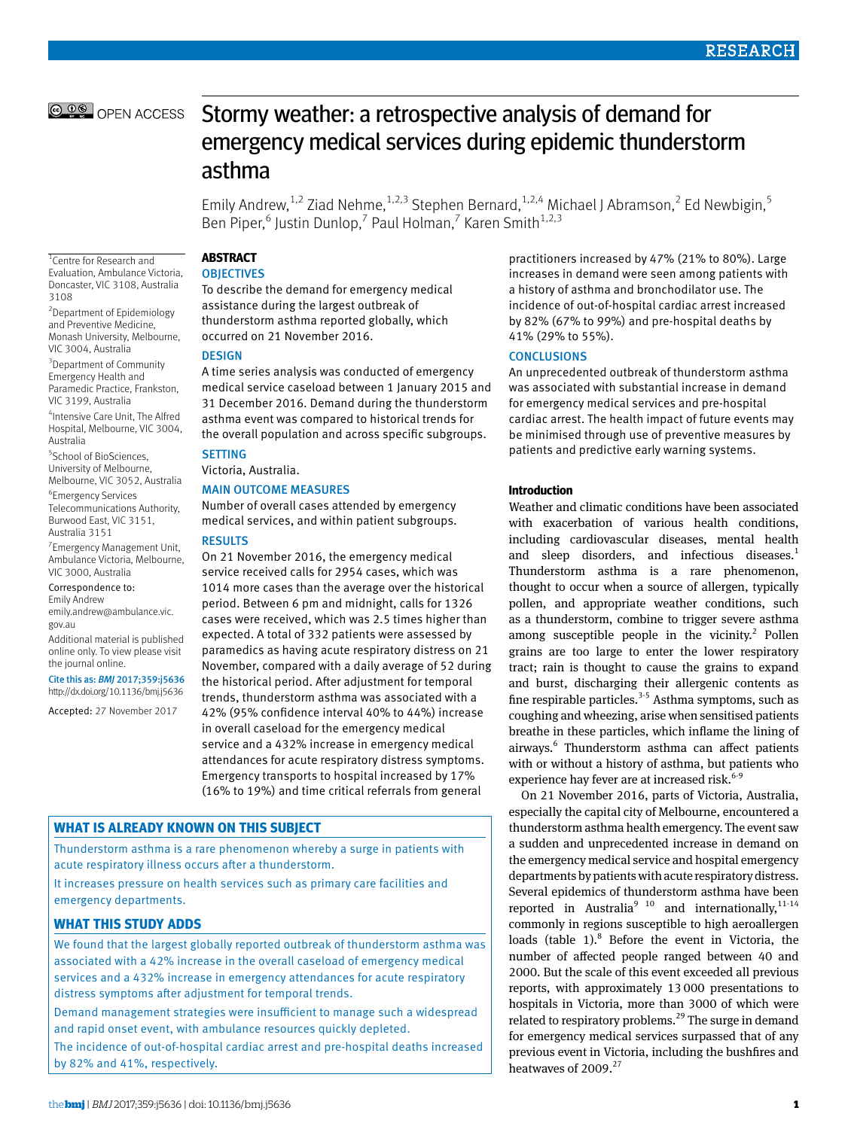

# Stormy weather: a retrospective analysis of demand for emergency medical services during epidemic thunderstorm asthma

Emily Andrew,<sup>1,2</sup> Ziad Nehme,<sup>1,2,3</sup> Stephen Bernard,<sup>1,2,4</sup> Michael J Abramson,<sup>2</sup> Ed Newbigin,<sup>5</sup> Ben Piper,<sup>6</sup> Justin Dunlop,<sup>7</sup> Paul Holman,<sup>7</sup> Karen Smith<sup>1,2,3</sup>

1 Centre for Research and Evaluation, Ambulance Victoria, Doncaster, VIC 3108, Australia 3108

2 Department of Epidemiology and Preventive Medicine, Monash University, Melbourne, VIC 3004, Australia

<sup>3</sup>Department of Community Emergency Health and Paramedic Practice, Frankston, VIC 3199, Australia

4 Intensive Care Unit, The Alfred Hospital, Melbourne, VIC 3004, Australia

5 School of BioSciences, University of Melbourne, Melbourne, VIC 3052, Australia

6 Emergency Services Telecommunications Authority, Burwood East, VIC 3151, Australia 3151

<sup>7</sup> Emergency Management Unit, Ambulance Victoria, Melbourne, VIC 3000, Australia

Correspondence to: Emily Andrew [emily.andrew@ambulance.vic.](mailto:emily.andrew@ambulance.vic.gov.au) [gov.au](mailto:emily.andrew@ambulance.vic.gov.au)

Additional material is published online only. To view please visit the journal online.

Cite this as: *BMJ* 2017;359:j5636 http://dx.doi.org/10.1136/bmj.j5636

Accepted: 27 November 2017

## **ABSTRACT**

#### **OBJECTIVES**

To describe the demand for emergency medical assistance during the largest outbreak of thunderstorm asthma reported globally, which occurred on 21 November 2016.

#### **DESIGN**

A time series analysis was conducted of emergency medical service caseload between 1 January 2015 and 31 December 2016. Demand during the thunderstorm asthma event was compared to historical trends for the overall population and across specific subgroups.

# **SETTING**

## Victoria, Australia.

## MAIN OUTCOME MEASURES

Number of overall cases attended by emergency medical services, and within patient subgroups.

## **RESULTS**

On 21 November 2016, the emergency medical service received calls for 2954 cases, which was 1014 more cases than the average over the historical period. Between 6 pm and midnight, calls for 1326 cases were received, which was 2.5 times higher than expected. A total of 332 patients were assessed by paramedics as having acute respiratory distress on 21 November, compared with a daily average of 52 during the historical period. After adjustment for temporal trends, thunderstorm asthma was associated with a 42% (95% confidence interval 40% to 44%) increase in overall caseload for the emergency medical service and a 432% increase in emergency medical attendances for acute respiratory distress symptoms. Emergency transports to hospital increased by 17% (16% to 19%) and time critical referrals from general

## **What is already known on this subject**

Thunderstorm asthma is a rare phenomenon whereby a surge in patients with acute respiratory illness occurs after a thunderstorm.

It increases pressure on health services such as primary care facilities and emergency departments.

## **What this study adds**

We found that the largest globally reported outbreak of thunderstorm asthma was associated with a 42% increase in the overall caseload of emergency medical services and a 432% increase in emergency attendances for acute respiratory distress symptoms after adjustment for temporal trends.

Demand management strategies were insufficient to manage such a widespread and rapid onset event, with ambulance resources quickly depleted. The incidence of out-of-hospital cardiac arrest and pre-hospital deaths increased by 82% and 41%, respectively.

practitioners increased by 47% (21% to 80%). Large increases in demand were seen among patients with a history of asthma and bronchodilator use. The incidence of out-of-hospital cardiac arrest increased by 82% (67% to 99%) and pre-hospital deaths by 41% (29% to 55%).

#### **CONCLUSIONS**

An unprecedented outbreak of thunderstorm asthma was associated with substantial increase in demand for emergency medical services and pre-hospital cardiac arrest. The health impact of future events may be minimised through use of preventive measures by patients and predictive early warning systems.

#### **Introduction**

Weather and climatic conditions have been associated with exacerbation of various health conditions, including cardiovascular diseases, mental health and sleep disorders, and infectious diseases.<sup>1</sup> Thunderstorm asthma is a rare phenomenon, thought to occur when a source of allergen, typically pollen, and appropriate weather conditions, such as a thunderstorm, combine to trigger severe asthma among susceptible people in the vicinity. $2$  Pollen grains are too large to enter the lower respiratory tract; rain is thought to cause the grains to expand and burst, discharging their allergenic contents as fine respirable particles.<sup>3-5</sup> Asthma symptoms, such as coughing and wheezing, arise when sensitised patients breathe in these particles, which inflame the lining of airways.<sup>6</sup> Thunderstorm asthma can affect patients with or without a history of asthma, but patients who experience hay fever are at increased risk. $6-9$ 

On 21 November 2016, parts of Victoria, Australia, especially the capital city of Melbourne, encountered a thunderstorm asthma health emergency. The event saw a sudden and unprecedented increase in demand on the emergency medical service and hospital emergency departments by patients with acute respiratory distress. Several epidemics of thunderstorm asthma have been reported in Australia<sup>9 10</sup> and internationally,  $11-14$ commonly in regions susceptible to high aeroallergen loads (table 1).<sup>8</sup> Before the event in Victoria, the number of affected people ranged between 40 and 2000. But the scale of this event exceeded all previous reports, with approximately 13 000 presentations to hospitals in Victoria, more than 3000 of which were related to respiratory problems.<sup>29</sup> The surge in demand for emergency medical services surpassed that of any previous event in Victoria, including the bushfires and heatwaves of  $2009<sup>27</sup>$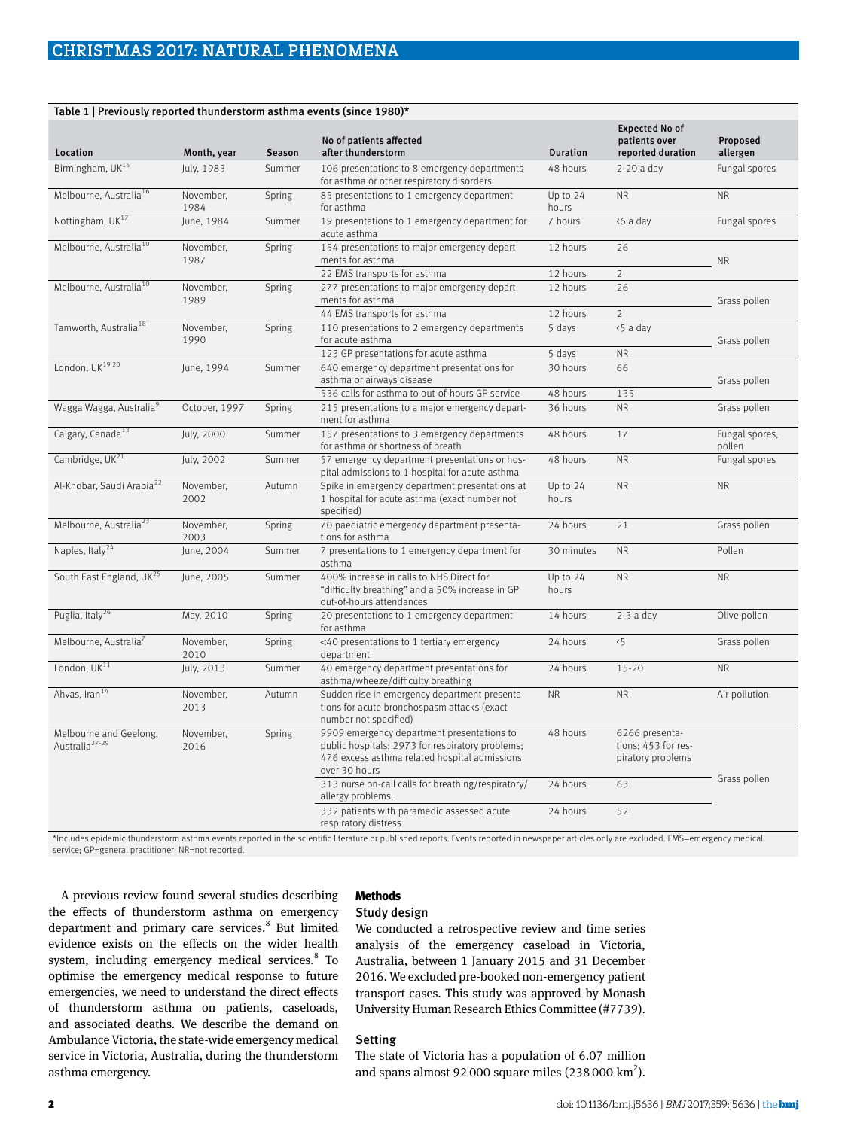## Table 1 | Previously reported thunderstorm asthma events (since 1980)\*

| Location                                             | Month, year       | Season | No of patients affected<br>after thunderstorm                                                                                                                    | <b>Duration</b>   | <b>Expected No of</b><br>patients over<br>reported duration | Proposed<br>allergen     |
|------------------------------------------------------|-------------------|--------|------------------------------------------------------------------------------------------------------------------------------------------------------------------|-------------------|-------------------------------------------------------------|--------------------------|
| Birmingham, UK <sup>15</sup>                         | July, 1983        | Summer | 106 presentations to 8 emergency departments<br>for asthma or other respiratory disorders                                                                        | 48 hours          | $2-20a$ day                                                 | Fungal spores            |
| Melbourne, Australia <sup>16</sup>                   | November,<br>1984 | Spring | 85 presentations to 1 emergency department<br>for asthma                                                                                                         | Up to 24<br>hours | <b>NR</b>                                                   | <b>NR</b>                |
| Nottingham, $UK^{17}$                                | June, 1984        | Summer | 19 presentations to 1 emergency department for<br>acute asthma                                                                                                   | 7 hours           | <6 a day                                                    | Fungal spores            |
| Melbourne, Australia <sup>10</sup>                   | November,<br>1987 | Spring | 154 presentations to major emergency depart-<br>ments for asthma                                                                                                 | 12 hours          | 26                                                          | <b>NR</b>                |
|                                                      |                   |        | 22 EMS transports for asthma                                                                                                                                     | 12 hours          | $\overline{2}$                                              |                          |
| Melbourne, Australia <sup>10</sup>                   | November,<br>1989 | Spring | 277 presentations to major emergency depart-<br>ments for asthma                                                                                                 | 12 hours          | 26                                                          | Grass pollen             |
|                                                      |                   |        | 44 EMS transports for asthma                                                                                                                                     | 12 hours          | $\overline{2}$                                              |                          |
| Tamworth, Australia <sup>18</sup>                    | November,<br>1990 | Spring | 110 presentations to 2 emergency departments<br>for acute asthma                                                                                                 | 5 days            | <5 a day                                                    | Grass pollen             |
|                                                      |                   |        | 123 GP presentations for acute asthma                                                                                                                            | 5 days            | <b>NR</b>                                                   |                          |
| London, UK <sup>19 20</sup>                          | June, 1994        | Summer | 640 emergency department presentations for<br>asthma or airways disease                                                                                          | 30 hours          | 66                                                          | Grass pollen             |
|                                                      |                   |        | 536 calls for asthma to out-of-hours GP service                                                                                                                  | 48 hours          | 135                                                         |                          |
| Wagga Wagga, Australia <sup>9</sup>                  | October, 1997     | Spring | 215 presentations to a major emergency depart-<br>ment for asthma                                                                                                | 36 hours          | <b>NR</b>                                                   | Grass pollen             |
| Calgary, Canada <sup>13</sup>                        | July, 2000        | Summer | 157 presentations to 3 emergency departments<br>for asthma or shortness of breath                                                                                | 48 hours          | 17                                                          | Fungal spores,<br>pollen |
| Cambridge, UK <sup>21</sup>                          | July, 2002        | Summer | 57 emergency department presentations or hos-<br>pital admissions to 1 hospital for acute asthma                                                                 | 48 hours          | <b>NR</b>                                                   | Fungal spores            |
| Al-Khobar, Saudi Arabia <sup>22</sup>                | November,<br>2002 | Autumn | Spike in emergency department presentations at<br>1 hospital for acute asthma (exact number not<br>specified)                                                    | Up to 24<br>hours | NR                                                          | <b>NR</b>                |
| Melbourne, Australia <sup>23</sup>                   | November,<br>2003 | Spring | 70 paediatric emergency department presenta-<br>tions for asthma                                                                                                 | 24 hours          | 21                                                          | Grass pollen             |
| Naples, Italy <sup>24</sup>                          | June, 2004        | Summer | 7 presentations to 1 emergency department for<br>asthma                                                                                                          | 30 minutes        | <b>NR</b>                                                   | Pollen                   |
| South East England, UK <sup>25</sup>                 | June, 2005        | Summer | 400% increase in calls to NHS Direct for<br>"difficulty breathing" and a 50% increase in GP<br>out-of-hours attendances                                          | Up to 24<br>hours | <b>NR</b>                                                   | <b>NR</b>                |
| Puglia, Italy <sup>26</sup>                          | May, 2010         | Spring | 20 presentations to 1 emergency department<br>for asthma                                                                                                         | 14 hours          | $2-3$ a day                                                 | Olive pollen             |
| Melbourne, Australia <sup>7</sup>                    | November,<br>2010 | Spring | <40 presentations to 1 tertiary emergency<br>department                                                                                                          | 24 hours          | 5 <sub>5</sub>                                              | Grass pollen             |
| London, $UK11$                                       | July, 2013        | Summer | 40 emergency department presentations for<br>asthma/wheeze/difficulty breathing                                                                                  | 24 hours          | $15 - 20$                                                   | <b>NR</b>                |
| Ahvas, Iran <sup>14</sup>                            | November,<br>2013 | Autumn | Sudden rise in emergency department presenta-<br>tions for acute bronchospasm attacks (exact<br>number not specified)                                            | <b>NR</b>         | <b>NR</b>                                                   | Air pollution            |
| Melbourne and Geelong,<br>Australia <sup>27-29</sup> | November,<br>2016 | Spring | 9909 emergency department presentations to<br>public hospitals; 2973 for respiratory problems;<br>476 excess asthma related hospital admissions<br>over 30 hours | 48 hours          | 6266 presenta-<br>tions; 453 for res-<br>piratory problems  |                          |
|                                                      |                   |        | 313 nurse on-call calls for breathing/respiratory/<br>allergy problems;                                                                                          | 24 hours          | 63                                                          | Grass pollen             |
|                                                      |                   |        | 332 patients with paramedic assessed acute<br>respiratory distress                                                                                               | 24 hours          | 52                                                          |                          |

\*Includes epidemic thunderstorm asthma events reported in the scientific literature or published reports. Events reported in newspaper articles only are excluded. EMS=emergency medical service; GP=general practitioner; NR=not reported.

A previous review found several studies describing the effects of thunderstorm asthma on emergency department and primary care services.<sup>8</sup> But limited evidence exists on the effects on the wider health system, including emergency medical services.<sup>8</sup> To optimise the emergency medical response to future emergencies, we need to understand the direct effects of thunderstorm asthma on patients, caseloads, and associated deaths. We describe the demand on Ambulance Victoria, the state-wide emergency medical service in Victoria, Australia, during the thunderstorm asthma emergency.

# **Methods**

## Study design

We conducted a retrospective review and time series analysis of the emergency caseload in Victoria, Australia, between 1 January 2015 and 31 December 2016. We excluded pre-booked non-emergency patient transport cases. This study was approved by Monash University Human Research Ethics Committee (#7739).

#### Setting

The state of Victoria has a population of 6.07 million and spans almost 92 000 square miles  $(238000 \text{ km}^2)$ .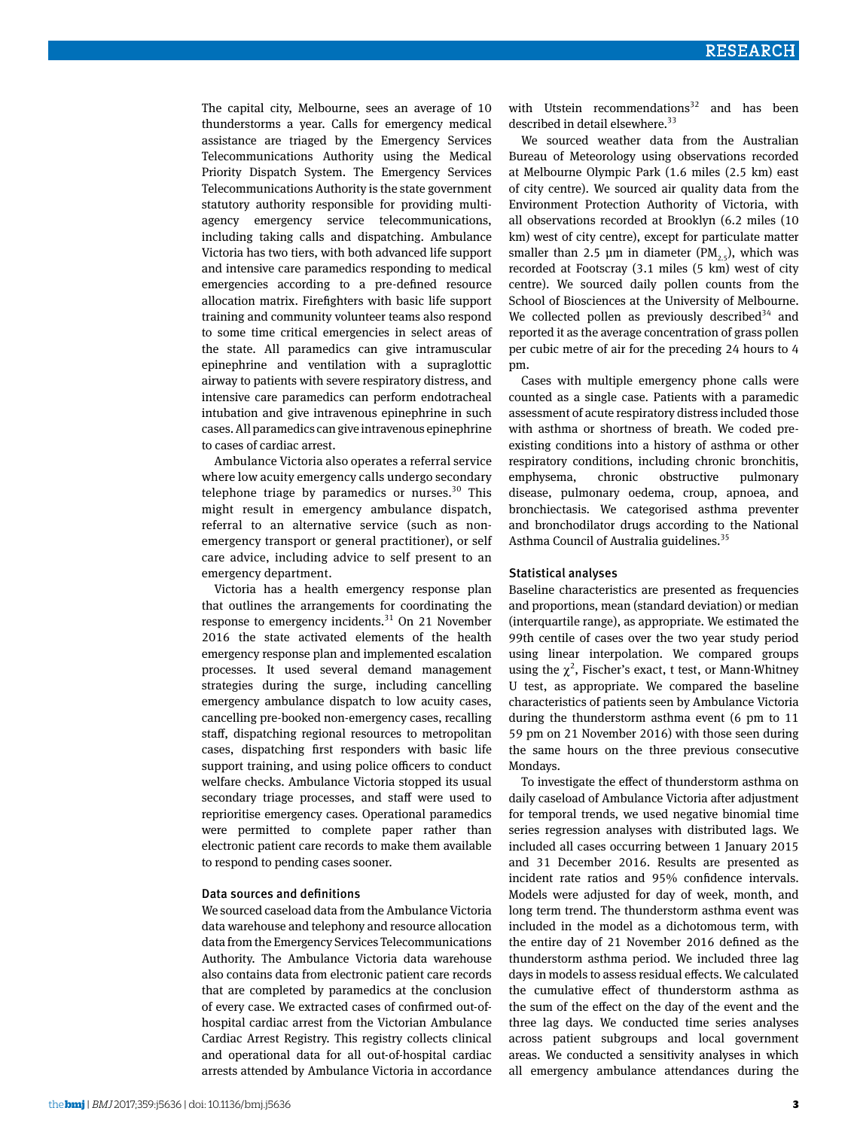The capital city, Melbourne, sees an average of 10 thunderstorms a year. Calls for emergency medical assistance are triaged by the Emergency Services Telecommunications Authority using the Medical Priority Dispatch System. The Emergency Services Telecommunications Authority is the state government statutory authority responsible for providing multiagency emergency service telecommunications, including taking calls and dispatching. Ambulance Victoria has two tiers, with both advanced life support and intensive care paramedics responding to medical emergencies according to a pre-defined resource allocation matrix. Firefighters with basic life support training and community volunteer teams also respond to some time critical emergencies in select areas of the state. All paramedics can give intramuscular epinephrine and ventilation with a supraglottic airway to patients with severe respiratory distress, and intensive care paramedics can perform endotracheal intubation and give intravenous epinephrine in such cases. All paramedics can give intravenous epinephrine to cases of cardiac arrest.

Ambulance Victoria also operates a referral service where low acuity emergency calls undergo secondary telephone triage by paramedics or nurses. $30$  This might result in emergency ambulance dispatch, referral to an alternative service (such as nonemergency transport or general practitioner), or self care advice, including advice to self present to an emergency department.

Victoria has a health emergency response plan that outlines the arrangements for coordinating the response to emergency incidents.<sup>31</sup> On 21 November 2016 the state activated elements of the health emergency response plan and implemented escalation processes. It used several demand management strategies during the surge, including cancelling emergency ambulance dispatch to low acuity cases, cancelling pre-booked non-emergency cases, recalling staff, dispatching regional resources to metropolitan cases, dispatching first responders with basic life support training, and using police officers to conduct welfare checks. Ambulance Victoria stopped its usual secondary triage processes, and staff were used to reprioritise emergency cases. Operational paramedics were permitted to complete paper rather than electronic patient care records to make them available to respond to pending cases sooner.

#### Data sources and definitions

We sourced caseload data from the Ambulance Victoria data warehouse and telephony and resource allocation data from the Emergency Services Telecommunications Authority. The Ambulance Victoria data warehouse also contains data from electronic patient care records that are completed by paramedics at the conclusion of every case. We extracted cases of confirmed out-ofhospital cardiac arrest from the Victorian Ambulance Cardiac Arrest Registry. This registry collects clinical and operational data for all out-of-hospital cardiac arrests attended by Ambulance Victoria in accordance

with Utstein recommendations $32$  and has been described in detail elsewhere.<sup>33</sup>

We sourced weather data from the Australian Bureau of Meteorology using observations recorded at Melbourne Olympic Park (1.6 miles (2.5 km) east of city centre). We sourced air quality data from the Environment Protection Authority of Victoria, with all observations recorded at Brooklyn (6.2 miles (10 km) west of city centre), except for particulate matter smaller than 2.5 μm in diameter (PM<sub>25</sub>), which was recorded at Footscray (3.1 miles (5 km) west of city centre). We sourced daily pollen counts from the School of Biosciences at the University of Melbourne. We collected pollen as previously described  $34$  and reported it as the average concentration of grass pollen per cubic metre of air for the preceding 24 hours to 4 pm.

Cases with multiple emergency phone calls were counted as a single case. Patients with a paramedic assessment of acute respiratory distress included those with asthma or shortness of breath. We coded preexisting conditions into a history of asthma or other respiratory conditions, including chronic bronchitis, emphysema, chronic obstructive pulmonary disease, pulmonary oedema, croup, apnoea, and bronchiectasis. We categorised asthma preventer and bronchodilator drugs according to the National Asthma Council of Australia guidelines.<sup>35</sup>

#### Statistical analyses

Baseline characteristics are presented as frequencies and proportions, mean (standard deviation) or median (interquartile range), as appropriate. We estimated the 99th centile of cases over the two year study period using linear interpolation. We compared groups using the  $\chi^2$ , Fischer's exact, t test, or Mann-Whitney U test, as appropriate. We compared the baseline characteristics of patients seen by Ambulance Victoria during the thunderstorm asthma event (6 pm to 11 59 pm on 21 November 2016) with those seen during the same hours on the three previous consecutive Mondays.

To investigate the effect of thunderstorm asthma on daily caseload of Ambulance Victoria after adjustment for temporal trends, we used negative binomial time series regression analyses with distributed lags. We included all cases occurring between 1 January 2015 and 31 December 2016. Results are presented as incident rate ratios and 95% confidence intervals. Models were adjusted for day of week, month, and long term trend. The thunderstorm asthma event was included in the model as a dichotomous term, with the entire day of 21 November 2016 defined as the thunderstorm asthma period. We included three lag days in models to assess residual effects. We calculated the cumulative effect of thunderstorm asthma as the sum of the effect on the day of the event and the three lag days. We conducted time series analyses across patient subgroups and local government areas. We conducted a sensitivity analyses in which all emergency ambulance attendances during the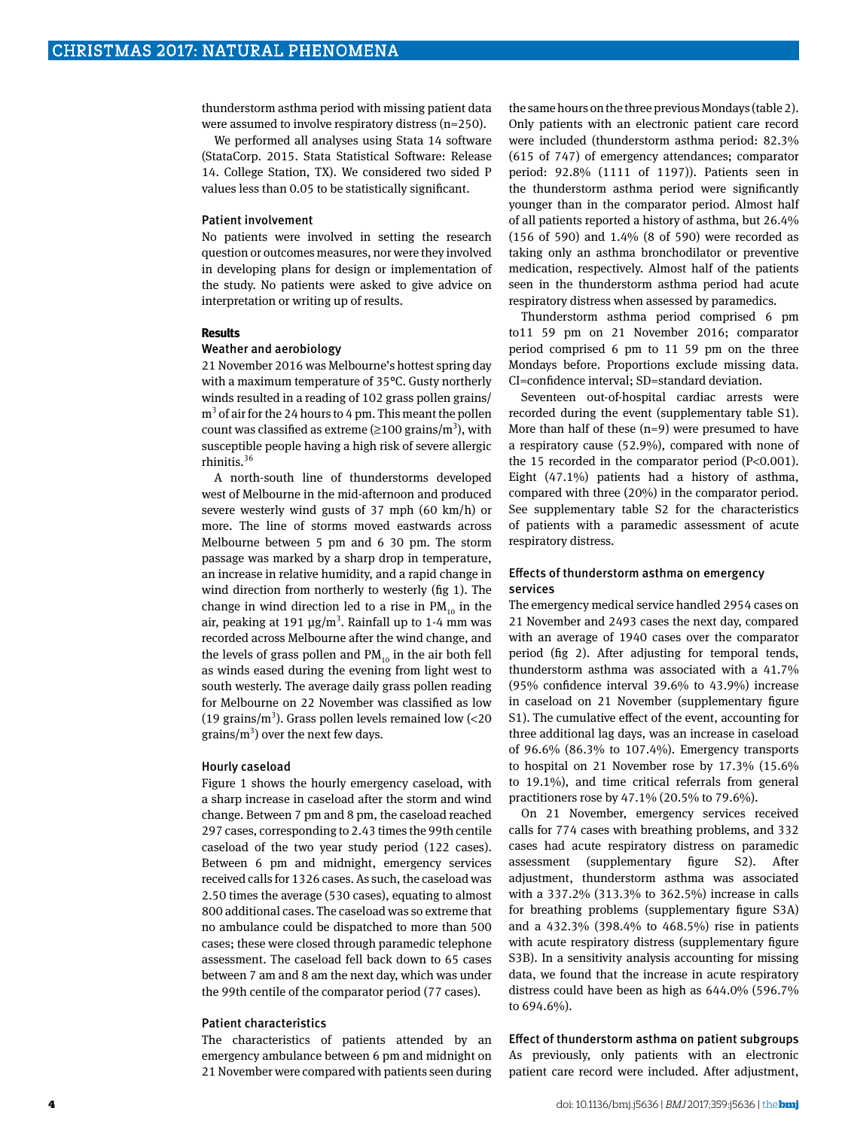thunderstorm asthma period with missing patient data were assumed to involve respiratory distress (n=250).

We performed all analyses using Stata 14 software (StataCorp. 2015. Stata Statistical Software: Release 14. College Station, TX). We considered two sided P values less than 0.05 to be statistically significant.

#### Patient involvement

No patients were involved in setting the research question or outcomes measures, nor were they involved in developing plans for design or implementation of the study. No patients were asked to give advice on interpretation or writing up of results.

#### **Results**

## Weather and aerobiology

21 November 2016 was Melbourne's hottest spring day with a maximum temperature of 35°C. Gusty northerly winds resulted in a reading of 102 grass pollen grains/  $m<sup>3</sup>$  of air for the 24 hours to 4 pm. This meant the pollen count was classified as extreme  $(\geq 100 \text{ grains/m}^3)$ , with susceptible people having a high risk of severe allergic rhinitis.<sup>36</sup>

A north-south line of thunderstorms developed west of Melbourne in the mid-afternoon and produced severe westerly wind gusts of 37 mph (60 km/h) or more. The line of storms moved eastwards across Melbourne between 5 pm and 6 30 pm. The storm passage was marked by a sharp drop in temperature, an increase in relative humidity, and a rapid change in wind direction from northerly to westerly (fig 1). The change in wind direction led to a rise in  $PM_{10}$  in the air, peaking at 191  $\mu$ g/m<sup>3</sup>. Rainfall up to 1-4 mm was recorded across Melbourne after the wind change, and the levels of grass pollen and  $PM_{10}$  in the air both fell as winds eased during the evening from light west to south westerly. The average daily grass pollen reading for Melbourne on 22 November was classified as low (19 grains/ $m<sup>3</sup>$ ). Grass pollen levels remained low (<20 grains/ $m<sup>3</sup>$ ) over the next few days.

#### Hourly caseload

Figure 1 shows the hourly emergency caseload, with a sharp increase in caseload after the storm and wind change. Between 7 pm and 8 pm, the caseload reached 297 cases, corresponding to 2.43 times the 99th centile caseload of the two year study period (122 cases). Between 6 pm and midnight, emergency services received calls for 1326 cases. As such, the caseload was 2.50 times the average (530 cases), equating to almost 800 additional cases. The caseload was so extreme that no ambulance could be dispatched to more than 500 cases; these were closed through paramedic telephone assessment. The caseload fell back down to 65 cases between 7 am and 8 am the next day, which was under the 99th centile of the comparator period (77 cases).

## Patient characteristics

The characteristics of patients attended by an emergency ambulance between 6 pm and midnight on 21 November were compared with patients seen during

the same hours on the three previous Mondays (table 2). Only patients with an electronic patient care record were included (thunderstorm asthma period: 82.3% (615 of 747) of emergency attendances; comparator period: 92.8% (1111 of 1197)). Patients seen in the thunderstorm asthma period were significantly younger than in the comparator period. Almost half of all patients reported a history of asthma, but 26.4% (156 of 590) and 1.4% (8 of 590) were recorded as taking only an asthma bronchodilator or preventive medication, respectively. Almost half of the patients seen in the thunderstorm asthma period had acute respiratory distress when assessed by paramedics.

Thunderstorm asthma period comprised 6 pm to11 59 pm on 21 November 2016; comparator period comprised 6 pm to 11 59 pm on the three Mondays before. Proportions exclude missing data. CI=confidence interval; SD=standard deviation.

Seventeen out-of-hospital cardiac arrests were recorded during the event (supplementary table S1). More than half of these  $(n=9)$  were presumed to have a respiratory cause (52.9%), compared with none of the 15 recorded in the comparator period (P<0.001). Eight (47.1%) patients had a history of asthma, compared with three (20%) in the comparator period. See supplementary table S2 for the characteristics of patients with a paramedic assessment of acute respiratory distress.

## Effects of thunderstorm asthma on emergency services

The emergency medical service handled 2954 cases on 21 November and 2493 cases the next day, compared with an average of 1940 cases over the comparator period (fig 2). After adjusting for temporal tends, thunderstorm asthma was associated with a 41.7% (95% confidence interval 39.6% to 43.9%) increase in caseload on 21 November (supplementary figure S1). The cumulative effect of the event, accounting for three additional lag days, was an increase in caseload of 96.6% (86.3% to 107.4%). Emergency transports to hospital on 21 November rose by 17.3% (15.6% to 19.1%), and time critical referrals from general practitioners rose by 47.1% (20.5% to 79.6%).

On 21 November, emergency services received calls for 774 cases with breathing problems, and 332 cases had acute respiratory distress on paramedic assessment (supplementary figure S2). After adjustment, thunderstorm asthma was associated with a 337.2% (313.3% to 362.5%) increase in calls for breathing problems (supplementary figure S3A) and a 432.3% (398.4% to 468.5%) rise in patients with acute respiratory distress (supplementary figure S3B). In a sensitivity analysis accounting for missing data, we found that the increase in acute respiratory distress could have been as high as 644.0% (596.7% to 694.6%).

Effect of thunderstorm asthma on patient subgroups As previously, only patients with an electronic patient care record were included. After adjustment,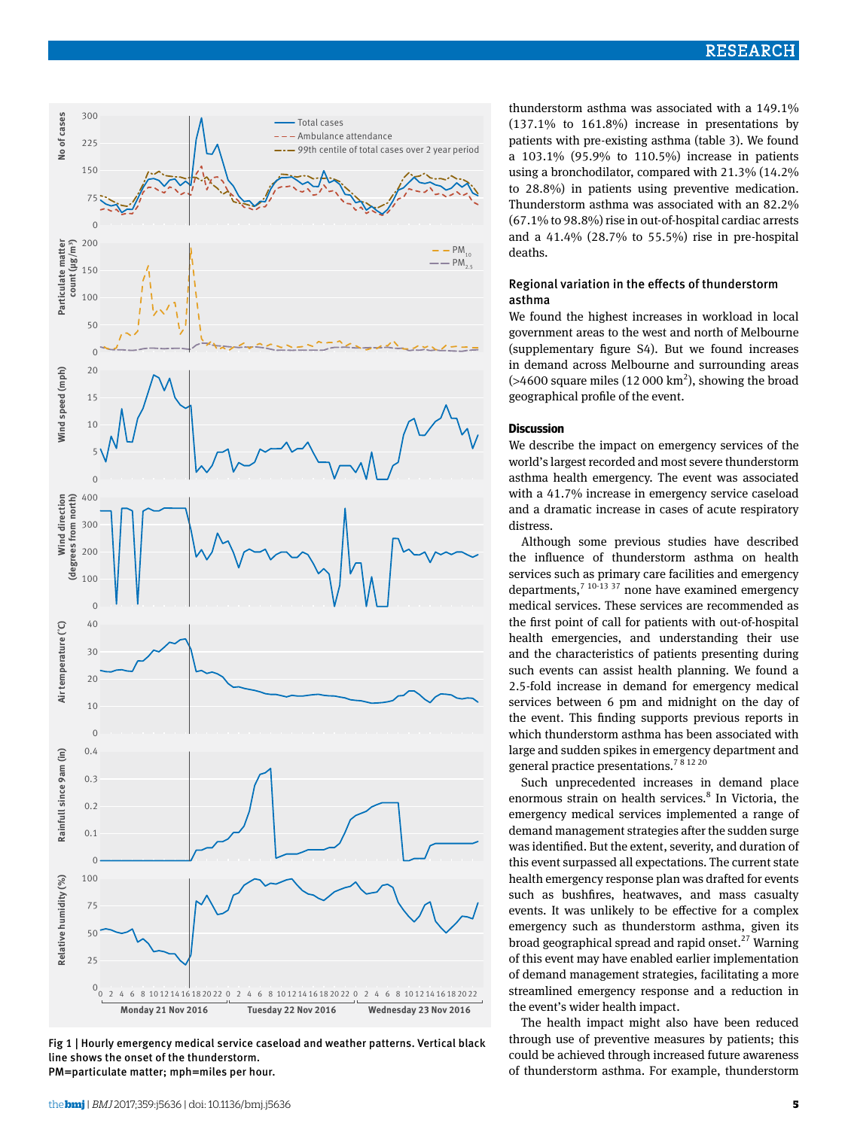

Fig 1 | Hourly emergency medical service caseload and weather patterns. Vertical black line shows the onset of the thunderstorm. PM=particulate matter; mph=miles per hour.

thunderstorm asthma was associated with a 149.1% (137.1% to 161.8%) increase in presentations by patients with pre-existing asthma (table 3). We found a 103.1% (95.9% to 110.5%) increase in patients using a bronchodilator, compared with 21.3% (14.2% to 28.8%) in patients using preventive medication. Thunderstorm asthma was associated with an 82.2% (67.1% to 98.8%) rise in out-of-hospital cardiac arrests and a 41.4% (28.7% to 55.5%) rise in pre-hospital deaths.

## Regional variation in the effects of thunderstorm asthma

We found the highest increases in workload in local government areas to the west and north of Melbourne (supplementary figure S4). But we found increases in demand across Melbourne and surrounding areas  $($ >4600 square miles (12 000 km<sup>2</sup>), showing the broad geographical profile of the event.

## **Discussion**

We describe the impact on emergency services of the world's largest recorded and most severe thunderstorm asthma health emergency. The event was associated with a 41.7% increase in emergency service caseload and a dramatic increase in cases of acute respiratory distress.

Although some previous studies have described the influence of thunderstorm asthma on health services such as primary care facilities and emergency departments,<sup>7</sup> <sup>10-13 37</sup> none have examined emergency medical services. These services are recommended as the first point of call for patients with out-of-hospital health emergencies, and understanding their use and the characteristics of patients presenting during such events can assist health planning. We found a 2.5-fold increase in demand for emergency medical services between 6 pm and midnight on the day of the event. This finding supports previous reports in which thunderstorm asthma has been associated with large and sudden spikes in emergency department and general practice presentations.<sup>781220</sup>

Such unprecedented increases in demand place enormous strain on health services.<sup>8</sup> In Victoria, the emergency medical services implemented a range of demand management strategies after the sudden surge was identified. But the extent, severity, and duration of this event surpassed all expectations. The current state health emergency response plan was drafted for events such as bushfires, heatwaves, and mass casualty events. It was unlikely to be effective for a complex emergency such as thunderstorm asthma, given its broad geographical spread and rapid onset.<sup>27</sup> Warning of this event may have enabled earlier implementation of demand management strategies, facilitating a more streamlined emergency response and a reduction in the event's wider health impact.

The health impact might also have been reduced through use of preventive measures by patients; this could be achieved through increased future awareness of thunderstorm asthma. For example, thunderstorm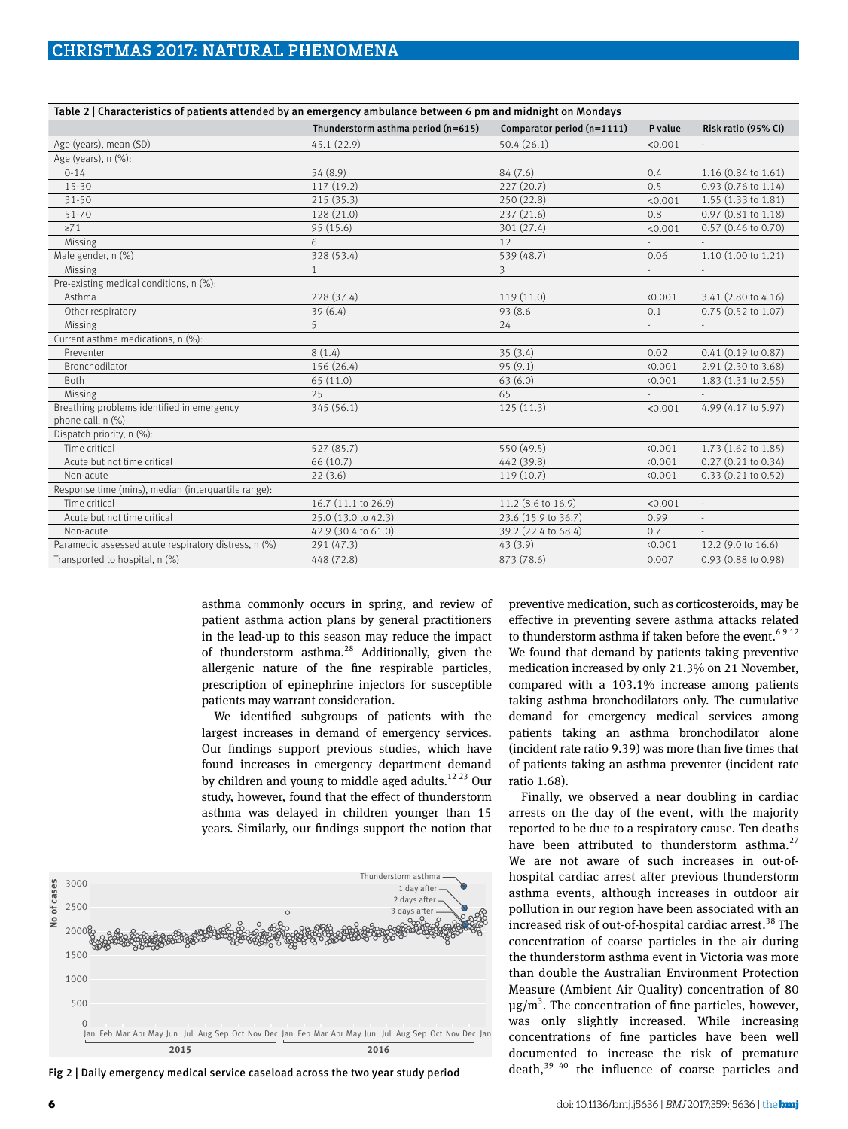| Table 2 Characteristics of patients attended by an emergency ambulance between 6 pm and midnight on Mondays |                                    |                            |         |                               |  |  |  |  |
|-------------------------------------------------------------------------------------------------------------|------------------------------------|----------------------------|---------|-------------------------------|--|--|--|--|
|                                                                                                             | Thunderstorm asthma period (n=615) | Comparator period (n=1111) | P value | Risk ratio (95% CI)           |  |  |  |  |
| Age (years), mean (SD)                                                                                      | 45.1 (22.9)                        | 50.4(26.1)                 | < 0.001 |                               |  |  |  |  |
| Age (years), n (%):                                                                                         |                                    |                            |         |                               |  |  |  |  |
| $0 - 14$                                                                                                    | 54 (8.9)                           | 84 (7.6)                   | 0.4     | $1.16$ (0.84 to $1.61$ )      |  |  |  |  |
| $15 - 30$                                                                                                   | 117(19.2)                          | 227(20.7)                  | 0.5     | 0.93 (0.76 to 1.14)           |  |  |  |  |
| $31 - 50$                                                                                                   | 215 (35.3)                         | 250 (22.8)                 | < 0.001 | 1.55 (1.33 to 1.81)           |  |  |  |  |
| 51-70                                                                                                       | 128 (21.0)                         | 237(21.6)                  | 0.8     | $0.97$ (0.81 to 1.18)         |  |  |  |  |
| $\geq 71$                                                                                                   | 95 (15.6)                          | 301(27.4)                  | < 0.001 | $0.57$ (0.46 to 0.70)         |  |  |  |  |
| Missing                                                                                                     | 6                                  | 12                         |         |                               |  |  |  |  |
| Male gender, n (%)                                                                                          | 328 (53.4)                         | 539 (48.7)                 | 0.06    | 1.10(1.00 to 1.21)            |  |  |  |  |
| Missing                                                                                                     | $\mathbf{1}$                       | 3                          |         | $\sim$                        |  |  |  |  |
| Pre-existing medical conditions, n (%):                                                                     |                                    |                            |         |                               |  |  |  |  |
| Asthma                                                                                                      | 228 (37.4)                         | 119(11.0)                  | (0.001) | 3.41 (2.80 to 4.16)           |  |  |  |  |
| Other respiratory                                                                                           | 39(6.4)                            | 93 (8.6)                   | 0.1     | $0.75$ (0.52 to 1.07)         |  |  |  |  |
| Missing                                                                                                     | 5                                  | 24                         | $\sim$  |                               |  |  |  |  |
| Current asthma medications, n (%):                                                                          |                                    |                            |         |                               |  |  |  |  |
| Preventer                                                                                                   | 8(1.4)                             | 35(3.4)                    | 0.02    | 0.41 (0.19 to 0.87)           |  |  |  |  |
| Bronchodilator                                                                                              | 156 (26.4)                         | 95(9.1)                    | 0.001   | 2.91 (2.30 to 3.68)           |  |  |  |  |
| Both                                                                                                        | 65 (11.0)                          | 63(6.0)                    | 0.001   | 1.83(1.31 to 2.55)            |  |  |  |  |
| Missing                                                                                                     | 25                                 | 65                         |         |                               |  |  |  |  |
| Breathing problems identified in emergency<br>phone call, n (%)                                             | 345 (56.1)                         | 125(11.3)                  | < 0.001 | 4.99 (4.17 to 5.97)           |  |  |  |  |
| Dispatch priority, n (%):                                                                                   |                                    |                            |         |                               |  |  |  |  |
| Time critical                                                                                               | 527 (85.7)                         | 550 (49.5)                 | (0.001) | 1.73 (1.62 to 1.85)           |  |  |  |  |
| Acute but not time critical                                                                                 | 66 (10.7)                          | 442 (39.8)                 | 0.001   | $0.27$ (0.21 to 0.34)         |  |  |  |  |
| Non-acute                                                                                                   | 22(3.6)                            | 119(10.7)                  | (0.001) | $0.33(0.21 \text{ to } 0.52)$ |  |  |  |  |
| Response time (mins), median (interquartile range):                                                         |                                    |                            |         |                               |  |  |  |  |
| Time critical                                                                                               | 16.7 (11.1 to 26.9)                | 11.2 (8.6 to 16.9)         | < 0.001 | $\overline{\phantom{a}}$      |  |  |  |  |
| Acute but not time critical                                                                                 | 25.0 (13.0 to 42.3)                | 23.6 (15.9 to 36.7)        | 0.99    | $\sim$                        |  |  |  |  |
| Non-acute                                                                                                   | 42.9 (30.4 to 61.0)                | 39.2 (22.4 to 68.4)        | 0.7     |                               |  |  |  |  |
| Paramedic assessed acute respiratory distress, n (%)                                                        | 291 (47.3)                         | 43(3.9)                    | (0.001) | 12.2 (9.0 to 16.6)            |  |  |  |  |
| Transported to hospital, n (%)                                                                              | 448 (72.8)                         | 873 (78.6)                 | 0.007   | 0.93 (0.88 to 0.98)           |  |  |  |  |

asthma commonly occurs in spring, and review of patient asthma action plans by general practitioners in the lead-up to this season may reduce the impact of thunderstorm asthma.<sup>28</sup> Additionally, given the allergenic nature of the fine respirable particles, prescription of epinephrine injectors for susceptible patients may warrant consideration.

We identified subgroups of patients with the largest increases in demand of emergency services. Our findings support previous studies, which have found increases in emergency department demand by children and young to middle aged adults.<sup>12 23</sup> Our study, however, found that the effect of thunderstorm asthma was delayed in children younger than 15 years. Similarly, our findings support the notion that



Fig 2 | Daily emergency medical service caseload across the two year study period

preventive medication, such as corticosteroids, may be effective in preventing severe asthma attacks related to thunderstorm asthma if taken before the event.<sup>6912</sup> We found that demand by patients taking preventive medication increased by only 21.3% on 21 November, compared with a 103.1% increase among patients taking asthma bronchodilators only. The cumulative demand for emergency medical services among patients taking an asthma bronchodilator alone (incident rate ratio 9.39) was more than five times that of patients taking an asthma preventer (incident rate ratio 1.68).

Finally, we observed a near doubling in cardiac arrests on the day of the event, with the majority reported to be due to a respiratory cause. Ten deaths have been attributed to thunderstorm asthma.<sup>27</sup> We are not aware of such increases in out-ofhospital cardiac arrest after previous thunderstorm asthma events, although increases in outdoor air pollution in our region have been associated with an increased risk of out-of-hospital cardiac arrest.<sup>38</sup> The concentration of coarse particles in the air during the thunderstorm asthma event in Victoria was more than double the Australian Environment Protection Measure (Ambient Air Quality) concentration of 80  $\mu$ g/m<sup>3</sup>. The concentration of fine particles, however, was only slightly increased. While increasing concentrations of fine particles have been well documented to increase the risk of premature death, $39/40$  the influence of coarse particles and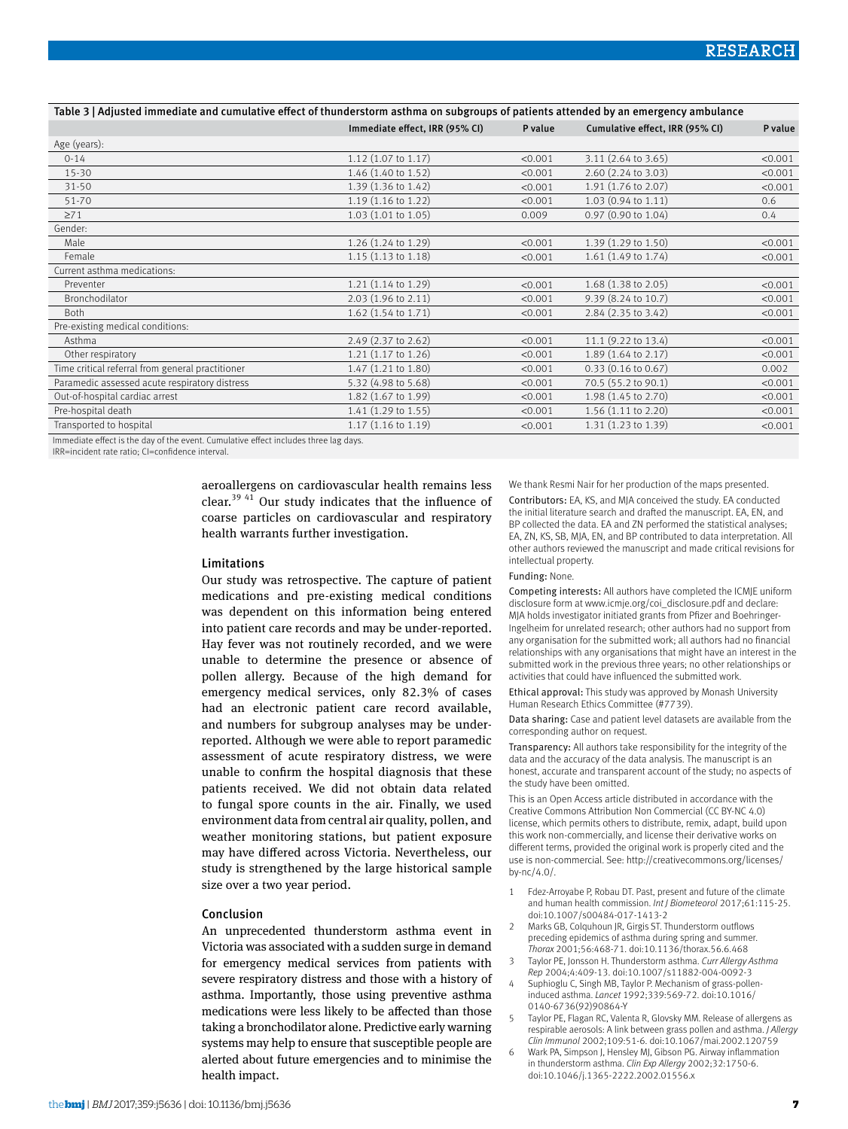| Table 3   Adjusted immediate and cumulative effect of thunderstorm asthma on subgroups of patients attended by an emergency ambulance |         |                                 |         |  |  |  |  |
|---------------------------------------------------------------------------------------------------------------------------------------|---------|---------------------------------|---------|--|--|--|--|
| Immediate effect, IRR (95% CI)                                                                                                        | P value | Cumulative effect, IRR (95% CI) | P value |  |  |  |  |
|                                                                                                                                       |         |                                 |         |  |  |  |  |
| $1.12$ (1.07 to 1.17)                                                                                                                 | < 0.001 | 3.11 (2.64 to 3.65)             | < 0.001 |  |  |  |  |
| 1.46 (1.40 to 1.52)                                                                                                                   | < 0.001 | 2.60 (2.24 to 3.03)             | < 0.001 |  |  |  |  |
| 1.39 (1.36 to 1.42)                                                                                                                   | < 0.001 | 1.91 (1.76 to 2.07)             | < 0.001 |  |  |  |  |
| $1.19(1.16 \text{ to } 1.22)$                                                                                                         | < 0.001 | $1.03(0.94 \text{ to } 1.11)$   | 0.6     |  |  |  |  |
| 1.03(1.01 to 1.05)                                                                                                                    | 0.009   | 0.97 (0.90 to 1.04)             | 0.4     |  |  |  |  |
|                                                                                                                                       |         |                                 |         |  |  |  |  |
| 1.26 (1.24 to 1.29)                                                                                                                   | < 0.001 | 1.39 (1.29 to 1.50)             | < 0.001 |  |  |  |  |
| 1.15 (1.13 to 1.18)                                                                                                                   | < 0.001 | 1.61 (1.49 to 1.74)             | < 0.001 |  |  |  |  |
|                                                                                                                                       |         |                                 |         |  |  |  |  |
| $1.21(1.14 \text{ to } 1.29)$                                                                                                         | < 0.001 | $1.68(1.38 \text{ to } 2.05)$   | < 0.001 |  |  |  |  |
| 2.03 (1.96 to 2.11)                                                                                                                   | < 0.001 | 9.39 (8.24 to 10.7)             | < 0.001 |  |  |  |  |
| $1.62$ (1.54 to 1.71)                                                                                                                 | < 0.001 | 2.84 (2.35 to 3.42)             | < 0.001 |  |  |  |  |
|                                                                                                                                       |         |                                 |         |  |  |  |  |
| 2.49 (2.37 to 2.62)                                                                                                                   | < 0.001 | 11.1 (9.22 to 13.4)             | < 0.001 |  |  |  |  |
| $1.21$ (1.17 to 1.26)                                                                                                                 | < 0.001 | 1.89 (1.64 to 2.17)             | < 0.001 |  |  |  |  |
| 1.47 (1.21 to 1.80)                                                                                                                   | < 0.001 | $0.33(0.16 \text{ to } 0.67)$   | 0.002   |  |  |  |  |
| 5.32 (4.98 to 5.68)                                                                                                                   | < 0.001 | 70.5 (55.2 to 90.1)             | < 0.001 |  |  |  |  |
| 1.82 (1.67 to 1.99)                                                                                                                   | < 0.001 | 1.98 (1.45 to 2.70)             | < 0.001 |  |  |  |  |
| 1.41 (1.29 to 1.55)                                                                                                                   | < 0.001 | 1.56 (1.11 to 2.20)             | < 0.001 |  |  |  |  |
| 1.17 (1.16 to 1.19)                                                                                                                   | < 0.001 | $1.31(1.23 \text{ to } 1.39)$   | < 0.001 |  |  |  |  |
|                                                                                                                                       |         |                                 |         |  |  |  |  |

Immediate effect is the day of the event. Cumulative effect includes three lag days. IRR=incident rate ratio; CI=confidence interval.

aeroallergens on cardiovascular health remains less clear.39 41 Our study indicates that the influence of coarse particles on cardiovascular and respiratory health warrants further investigation.

#### Limitations

Our study was retrospective. The capture of patient medications and pre-existing medical conditions was dependent on this information being entered into patient care records and may be under-reported. Hay fever was not routinely recorded, and we were unable to determine the presence or absence of pollen allergy. Because of the high demand for emergency medical services, only 82.3% of cases had an electronic patient care record available, and numbers for subgroup analyses may be underreported. Although we were able to report paramedic assessment of acute respiratory distress, we were unable to confirm the hospital diagnosis that these patients received. We did not obtain data related to fungal spore counts in the air. Finally, we used environment data from central air quality, pollen, and weather monitoring stations, but patient exposure may have differed across Victoria. Nevertheless, our study is strengthened by the large historical sample size over a two year period.

#### Conclusion

An unprecedented thunderstorm asthma event in Victoria was associated with a sudden surge in demand for emergency medical services from patients with severe respiratory distress and those with a history of asthma. Importantly, those using preventive asthma medications were less likely to be affected than those taking a bronchodilator alone. Predictive early warning systems may help to ensure that susceptible people are alerted about future emergencies and to minimise the health impact.

We thank Resmi Nair for her production of the maps presented.

Contributors: EA, KS, and MJA conceived the study. EA conducted the initial literature search and drafted the manuscript. EA, EN, and BP collected the data. EA and ZN performed the statistical analyses; EA, ZN, KS, SB, MJA, EN, and BP contributed to data interpretation. All other authors reviewed the manuscript and made critical revisions for intellectual property.

Funding: None.

Competing interests: All authors have completed the ICMJE uniform disclosure form at [www.icmje.org/coi\\_disclosure.pdf](http://www.icmje.org/coi_disclosure.pdf) and declare: MJA holds investigator initiated grants from Pfizer and Boehringer-Ingelheim for unrelated research; other authors had no support from any organisation for the submitted work; all authors had no financial relationships with any organisations that might have an interest in the submitted work in the previous three years; no other relationships or activities that could have influenced the submitted work.

Ethical approval: This study was approved by Monash University Human Research Ethics Committee (#7739).

Data sharing: Case and patient level datasets are available from the corresponding author on request.

Transparency: All authors take responsibility for the integrity of the data and the accuracy of the data analysis. The manuscript is an honest, accurate and transparent account of the study; no aspects of the study have been omitted.

This is an Open Access article distributed in accordance with the Creative Commons Attribution Non Commercial (CC BY-NC 4.0) license, which permits others to distribute, remix, adapt, build upon this work non-commercially, and license their derivative works on different terms, provided the original work is properly cited and the use is non-commercial. See: [http://creativecommons.org/licenses/](http://creativecommons.org/licenses/by-nc/4.0/) [by-nc/4.0/](http://creativecommons.org/licenses/by-nc/4.0/).

- 1 Fdez-Arroyabe P, Robau DT. Past, present and future of the climate and human health commission. *Int J Biometeorol* 2017;61:115-25. doi:10.1007/s00484-017-1413-2
- 2 Marks GB, Colquhoun JR, Girgis ST. Thunderstorm outflows preceding epidemics of asthma during spring and summer. *Thorax* 2001;56:468-71. doi:10.1136/thorax.56.6.468
- 3 Taylor PE, Jonsson H. Thunderstorm asthma. *Curr Allergy Asthma Rep* 2004;4:409-13. doi:10.1007/s11882-004-0092-3
- 4 Suphioglu C, Singh MB, Taylor P. Mechanism of grass-polleninduced asthma. *Lancet* 1992;339:569-72. doi:10.1016/ 0140-6736(92)90864-Y
- Taylor PE, Flagan RC, Valenta R, Glovsky MM. Release of allergens as respirable aerosols: A link between grass pollen and asthma. *J Allergy Clin Immunol* 2002;109:51-6. doi:10.1067/mai.2002.120759
- 6 Wark PA, Simpson J, Hensley MJ, Gibson PG. Airway inflammation in thunderstorm asthma. *Clin Exp Allergy* 2002;32:1750-6. doi:10.1046/j.1365-2222.2002.01556.x